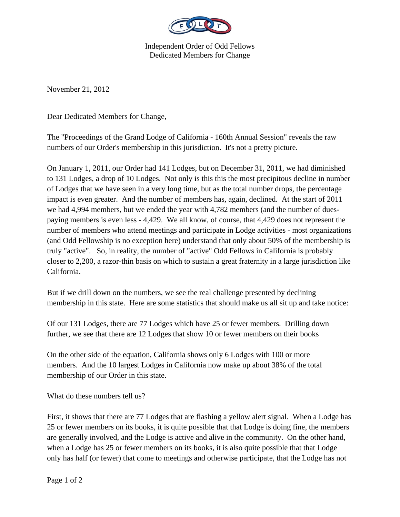

Independent Order of Odd Fellows Dedicated Members for Change

November 21, 2012

Dear Dedicated Members for Change,

The "Proceedings of the Grand Lodge of California - 160th Annual Session" reveals the raw numbers of our Order's membership in this jurisdiction. It's not a pretty picture.

On January 1, 2011, our Order had 141 Lodges, but on December 31, 2011, we had diminished to 131 Lodges, a drop of 10 Lodges. Not only is this this the most precipitous decline in number of Lodges that we have seen in a very long time, but as the total number drops, the percentage impact is even greater. And the number of members has, again, declined. At the start of 2011 we had 4,994 members, but we ended the year with 4,782 members (and the number of duespaying members is even less - 4,429. We all know, of course, that 4,429 does not represent the number of members who attend meetings and participate in Lodge activities - most organizations (and Odd Fellowship is no exception here) understand that only about 50% of the membership is truly "active". So, in reality, the number of "active" Odd Fellows in California is probably closer to 2,200, a razor-thin basis on which to sustain a great fraternity in a large jurisdiction like California.

But if we drill down on the numbers, we see the real challenge presented by declining membership in this state. Here are some statistics that should make us all sit up and take notice:

Of our 131 Lodges, there are 77 Lodges which have 25 or fewer members. Drilling down further, we see that there are 12 Lodges that show 10 or fewer members on their books

On the other side of the equation, California shows only 6 Lodges with 100 or more members. And the 10 largest Lodges in California now make up about 38% of the total membership of our Order in this state.

What do these numbers tell us?

First, it shows that there are 77 Lodges that are flashing a yellow alert signal. When a Lodge has 25 or fewer members on its books, it is quite possible that that Lodge is doing fine, the members are generally involved, and the Lodge is active and alive in the community. On the other hand, when a Lodge has 25 or fewer members on its books, it is also quite possible that that Lodge only has half (or fewer) that come to meetings and otherwise participate, that the Lodge has not